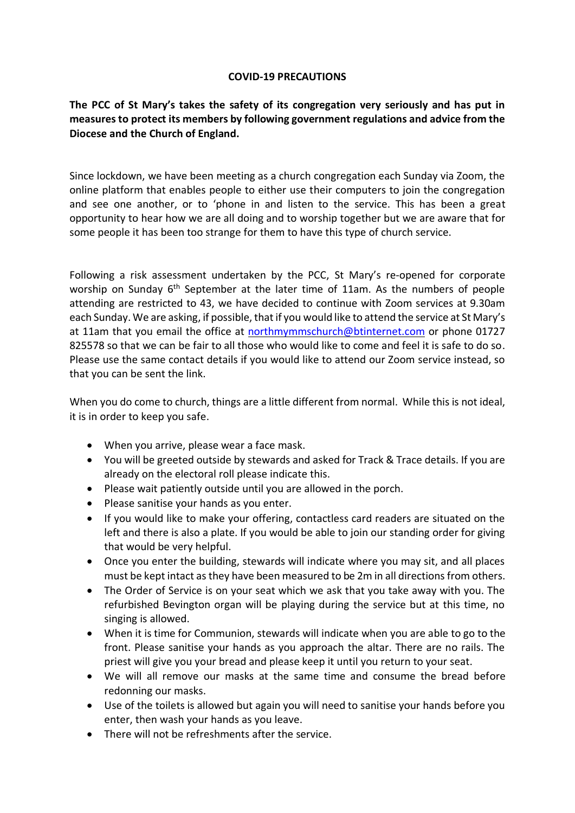## **COVID-19 PRECAUTIONS**

## **The PCC of St Mary's takes the safety of its congregation very seriously and has put in measures to protect its members by following government regulations and advice from the Diocese and the Church of England.**

Since lockdown, we have been meeting as a church congregation each Sunday via Zoom, the online platform that enables people to either use their computers to join the congregation and see one another, or to 'phone in and listen to the service. This has been a great opportunity to hear how we are all doing and to worship together but we are aware that for some people it has been too strange for them to have this type of church service.

Following a risk assessment undertaken by the PCC, St Mary's re-opened for corporate worship on Sunday 6<sup>th</sup> September at the later time of 11am. As the numbers of people attending are restricted to 43, we have decided to continue with Zoom services at 9.30am each Sunday. We are asking, if possible, that if you would like to attend the service at St Mary's at 11am that you email the office at [northmymmschurch@btinternet.com](mailto:northmymmschurch@btinternet.com) or phone 01727 825578 so that we can be fair to all those who would like to come and feel it is safe to do so. Please use the same contact details if you would like to attend our Zoom service instead, so that you can be sent the link.

When you do come to church, things are a little different from normal. While this is not ideal, it is in order to keep you safe.

- When you arrive, please wear a face mask.
- You will be greeted outside by stewards and asked for Track & Trace details. If you are already on the electoral roll please indicate this.
- Please wait patiently outside until you are allowed in the porch.
- Please sanitise your hands as you enter.
- If you would like to make your offering, contactless card readers are situated on the left and there is also a plate. If you would be able to join our standing order for giving that would be very helpful.
- Once you enter the building, stewards will indicate where you may sit, and all places must be kept intact as they have been measured to be 2m in all directions from others.
- The Order of Service is on your seat which we ask that you take away with you. The refurbished Bevington organ will be playing during the service but at this time, no singing is allowed.
- When it is time for Communion, stewards will indicate when you are able to go to the front. Please sanitise your hands as you approach the altar. There are no rails. The priest will give you your bread and please keep it until you return to your seat.
- We will all remove our masks at the same time and consume the bread before redonning our masks.
- Use of the toilets is allowed but again you will need to sanitise your hands before you enter, then wash your hands as you leave.
- There will not be refreshments after the service.